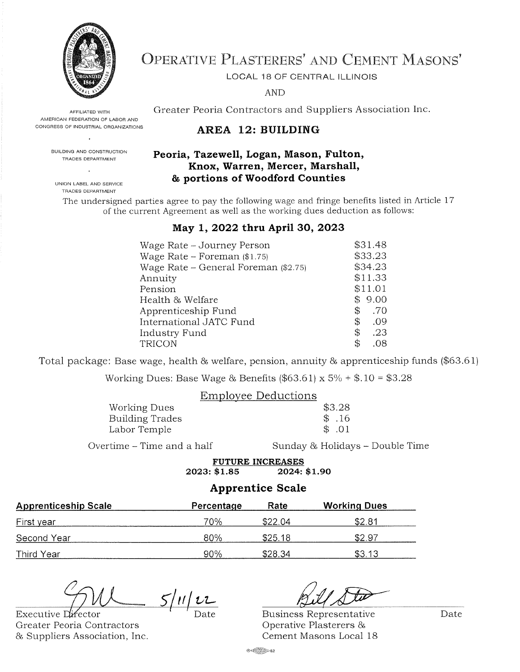

AFFILIATED WITH AMERICAN FEDERATION OF LABOR AND CONGRESS OF INDUSTRIAL ORGANIZATIONS

# **OPERATIVE PLASTERERS' AND CEMENT MASONS'**

LOCAL 18 OF CENTRAL ILLINOIS

**AND** 

Greater Peoria Contractors and Suppliers Association Inc.

## AREA 12: BUILDING

#### Peoria, Tazewell, Logan, Mason, Fulton, Knox, Warren, Mercer, Marshall, & portions of Woodford Counties

UNION LABEL AND SERVICE TRADES DEPARTMENT

BUILDING AND CONSTRUCTION

TRADES DEPARTMENT

The undersigned parties agree to pay the following wage and fringe benefits listed in Article 17 of the current Agreement as well as the working dues deduction as follows:

#### May 1, 2022 thru April 30, 2023

| Wage Rate – Journey Person             | \$31.48   |
|----------------------------------------|-----------|
| Wage Rate – Foreman $(\$1.75)$         | \$33.23   |
| Wage Rate – General Foreman $(\$2.75)$ | \$34.23   |
| Annuity                                | \$11.33   |
| Pension                                | \$11.01   |
| Health & Welfare                       | \$9.00    |
| Apprenticeship Fund                    | .70<br>\$ |
| International JATC Fund                | \$<br>.09 |
| Industry Fund                          | \$<br>.23 |
| TRICON                                 | \$<br>.08 |

Total package: Base wage, health & welfare, pension, annuity & apprenticeship funds (\$63.61)

Working Dues: Base Wage & Benefits (\$63.61) x  $5\% + $.10 = $3.28$ 

|                        | Employee Deductions |        |
|------------------------|---------------------|--------|
| Working Dues           |                     | \$3.28 |
| <b>Building Trades</b> |                     | \$.16  |
| Labor Temple           |                     | \$.01  |
|                        |                     |        |

Overtime – Time and a half

Sunday & Holidays - Double Time

**FUTURE INCREASES** 2023: \$1.85 2024: \$1.90

#### **Apprentice Scale**

| <b>Apprenticeship Scale</b> | Percentage | Rate    | <b>Working Dues</b> |
|-----------------------------|------------|---------|---------------------|
| First year                  | 70%        | \$22.04 | \$2.81              |
| Second Year                 | 80%        | \$25.18 | \$2.97              |
| Third Year                  | 90%        | \$28.34 | \$3.13              |

 $5/11/22$ 

Executive Director Greater Peoria Contractors & Suppliers Association, Inc.

**Business Representative** Operative Plasterers & Cement Masons Local 18

Date